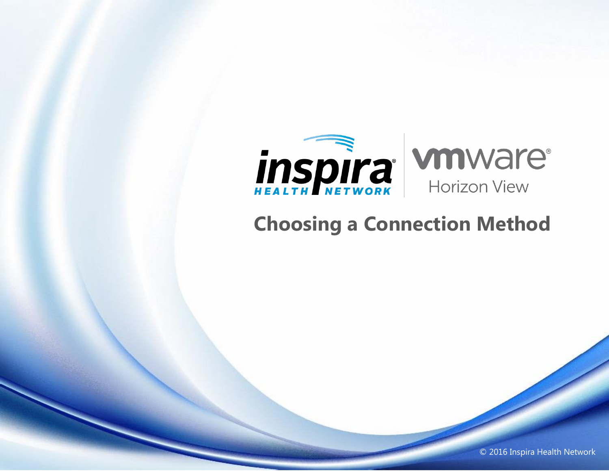

## **Choosing a Connection Method**

© 2016 Inspira Health Network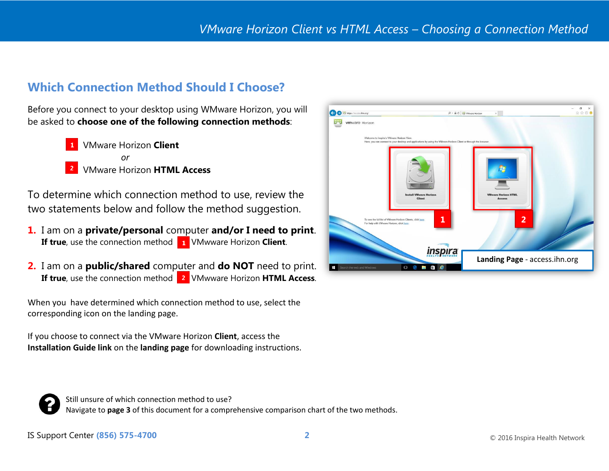## **Which Connection Method Should I Choose?**

Before you connect to your desktop using WMware Horizon, you will be asked to **choose one of the following connection methods**:

> VMware Horizon **Client** *or* VMware Horizon **HTML Access**

To determine which connection method to use, review the two statements below and follow the method suggestion.

- **1.** I am on a **private/personal** computer **and/or I need to print**. **If true**, use the connection method **1** VMwware Horizon **Client**.
- **2.** I am on a **public/shared** computer and **do NOT** need to print. **If true**, use the connection method **2** VMwware Horizon **HTML Access**.

When you have determined which connection method to use, select the corresponding icon on the landing page.

If you choose to connect via the VMware Horizon **Client**, access the **Installation Guide link** on the **landing page** for downloading instructions.





Still unsure of which connection method to use? Navigate to **page 3** of this document for a comprehensive comparison chart of the two methods.